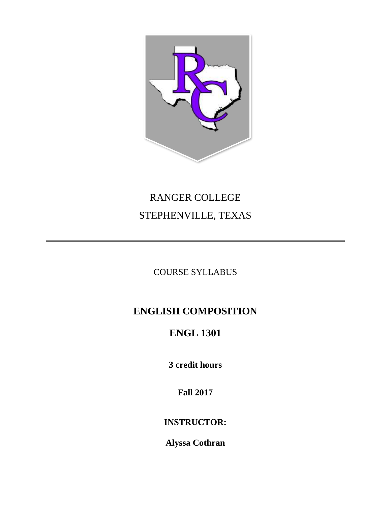

# RANGER COLLEGE STEPHENVILLE, TEXAS

### COURSE SYLLABUS

# **ENGLISH COMPOSITION**

# **ENGL 1301**

**3 credit hours**

**Fall 2017**

### **INSTRUCTOR:**

**Alyssa Cothran**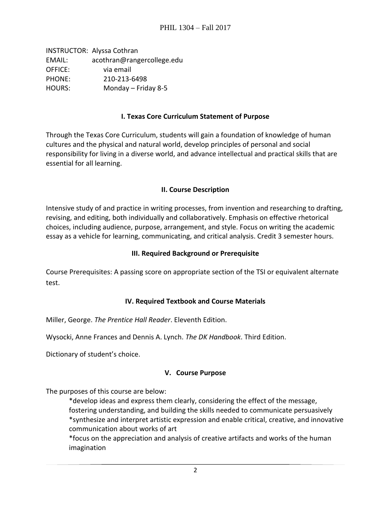INSTRUCTOR: Alyssa Cothran EMAIL: acothran@rangercollege.edu OFFICE: via email PHONE: 210-213-6498 HOURS: Monday – Friday 8-5

#### **I. Texas Core Curriculum Statement of Purpose**

Through the Texas Core Curriculum, students will gain a foundation of knowledge of human cultures and the physical and natural world, develop principles of personal and social responsibility for living in a diverse world, and advance intellectual and practical skills that are essential for all learning.

#### **II. Course Description**

Intensive study of and practice in writing processes, from invention and researching to drafting, revising, and editing, both individually and collaboratively. Emphasis on effective rhetorical choices, including audience, purpose, arrangement, and style. Focus on writing the academic essay as a vehicle for learning, communicating, and critical analysis. Credit 3 semester hours.

#### **III. Required Background or Prerequisite**

Course Prerequisites: A passing score on appropriate section of the TSI or equivalent alternate test.

#### **IV. Required Textbook and Course Materials**

Miller, George. *The Prentice Hall Reader*. Eleventh Edition.

Wysocki, Anne Frances and Dennis A. Lynch. *The DK Handbook*. Third Edition.

Dictionary of student's choice.

#### **V. Course Purpose**

The purposes of this course are below:

\*develop ideas and express them clearly, considering the effect of the message, fostering understanding, and building the skills needed to communicate persuasively \*synthesize and interpret artistic expression and enable critical, creative, and innovative communication about works of art

\*focus on the appreciation and analysis of creative artifacts and works of the human imagination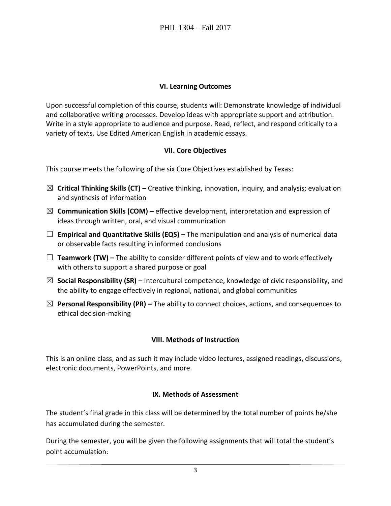#### **VI. Learning Outcomes**

Upon successful completion of this course, students will: Demonstrate knowledge of individual and collaborative writing processes. Develop ideas with appropriate support and attribution. Write in a style appropriate to audience and purpose. Read, reflect, and respond critically to a variety of texts. Use Edited American English in academic essays.

#### **VII. Core Objectives**

This course meets the following of the six Core Objectives established by Texas:

- ☒ **Critical Thinking Skills (CT) –** Creative thinking, innovation, inquiry, and analysis; evaluation and synthesis of information
- ☒ **Communication Skills (COM) –** effective development, interpretation and expression of ideas through written, oral, and visual communication
- ☐ **Empirical and Quantitative Skills (EQS) –** The manipulation and analysis of numerical data or observable facts resulting in informed conclusions
- ☐ **Teamwork (TW) –** The ability to consider different points of view and to work effectively with others to support a shared purpose or goal
- ☒ **Social Responsibility (SR) –** Intercultural competence, knowledge of civic responsibility, and the ability to engage effectively in regional, national, and global communities
- ☒ **Personal Responsibility (PR) –** The ability to connect choices, actions, and consequences to ethical decision-making

#### **VIII. Methods of Instruction**

This is an online class, and as such it may include video lectures, assigned readings, discussions, electronic documents, PowerPoints, and more.

#### **IX. Methods of Assessment**

The student's final grade in this class will be determined by the total number of points he/she has accumulated during the semester.

During the semester, you will be given the following assignments that will total the student's point accumulation: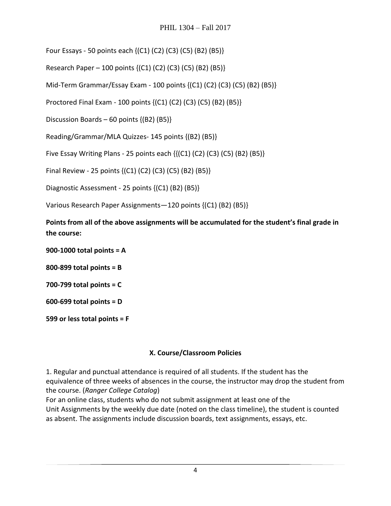Four Essays - 50 points each {(C1) (C2) (C3) (C5) (B2) (B5)}

Research Paper – 100 points {(C1) (C2) (C3) (C5) (B2) (B5)}

Mid-Term Grammar/Essay Exam - 100 points {(C1) (C2) (C3) (C5) (B2) (B5)}

Proctored Final Exam - 100 points {(C1) (C2) (C3) (C5) (B2) (B5)}

Discussion Boards – 60 points {(B2) (B5)}

Reading/Grammar/MLA Quizzes- 145 points {(B2) (B5)}

Five Essay Writing Plans - 25 points each  $\{({\rm C1})({\rm C2})({\rm C3})({\rm C5})({\rm B2})({\rm B5})\}$ 

Final Review - 25 points {(C1) (C2) (C3) (C5) (B2) (B5)}

Diagnostic Assessment - 25 points {(C1) (B2) (B5)}

Various Research Paper Assignments—120 points {(C1) (B2) (B5)}

**Points from all of the above assignments will be accumulated for the student's final grade in the course:**

**900-1000 total points = A**

**800-899 total points = B**

**700-799 total points = C**

**600-699 total points = D**

**599 or less total points = F**

#### **X. Course/Classroom Policies**

1. Regular and punctual attendance is required of all students. If the student has the equivalence of three weeks of absences in the course, the instructor may drop the student from the course. (*Ranger College Catalog*)

For an online class, students who do not submit assignment at least one of the Unit Assignments by the weekly due date (noted on the class timeline), the student is counted as absent. The assignments include discussion boards, text assignments, essays, etc.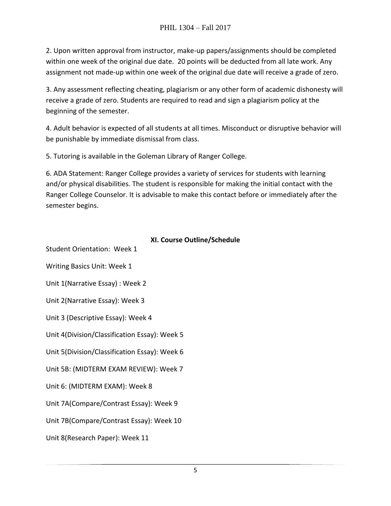2. Upon written approval from instructor, make-up papers/assignments should be completed within one week of the original due date. 20 points will be deducted from all late work. Any assignment not made-up within one week of the original due date will receive a grade of zero.

3. Any assessment reflecting cheating, plagiarism or any other form of academic dishonesty will receive a grade of zero. Students are required to read and sign a plagiarism policy at the beginning of the semester.

4. Adult behavior is expected of all students at all times. Misconduct or disruptive behavior will be punishable by immediate dismissal from class.

5. Tutoring is available in the Goleman Library of Ranger College.

6. ADA Statement: Ranger College provides a variety of services for students with learning and/or physical disabilities. The student is responsible for making the initial contact with the Ranger College Counselor. It is advisable to make this contact before or immediately after the semester begins.

#### **XI. Course Outline/Schedule**

Student Orientation: Week 1 Writing Basics Unit: Week 1 Unit 1(Narrative Essay) : Week 2 Unit 2(Narrative Essay): Week 3 Unit 3 (Descriptive Essay): Week 4 Unit 4(Division/Classification Essay): Week 5 Unit 5(Division/Classification Essay): Week 6 Unit 5B: (MIDTERM EXAM REVIEW): Week 7 Unit 6: (MIDTERM EXAM): Week 8 Unit 7A(Compare/Contrast Essay): Week 9 Unit 7B(Compare/Contrast Essay): Week 10 Unit 8(Research Paper): Week 11